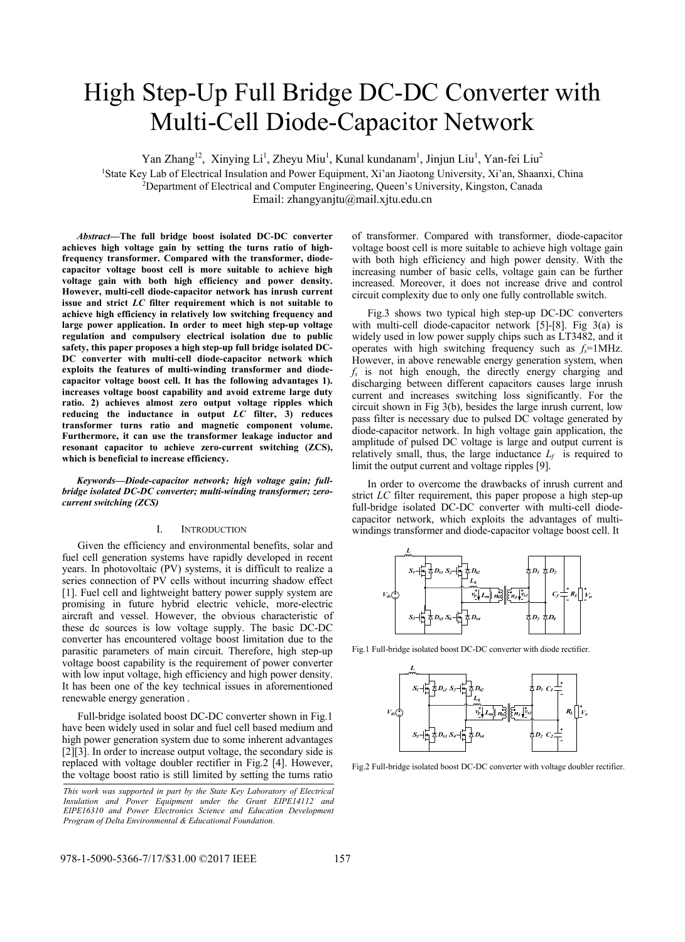# High Step-Up Full Bridge DC-DC Converter with Multi-Cell Diode-Capacitor Network

Yan Zhang<sup>12</sup>, Xinying Li<sup>1</sup>, Zheyu Miu<sup>1</sup>, Kunal kundanam<sup>1</sup>, Jinjun Liu<sup>1</sup>, Yan-fei Liu<sup>2</sup>

<sup>1</sup>State Key Lab of Electrical Insulation and Power Equipment, Xi'an Jiaotong University, Xi'an, Shaanxi, China <sup>2</sup><br><sup>2</sup> Denartment of Electrical and Computer Engineering Oueen's University Kingston, Canada <sup>2</sup>Department of Electrical and Computer Engineering, Queen's University, Kingston, Canada

Email: zhangyanjtu@mail.xjtu.edu.cn

*Abstract***—The full bridge boost isolated DC-DC converter achieves high voltage gain by setting the turns ratio of highfrequency transformer. Compared with the transformer, diodecapacitor voltage boost cell is more suitable to achieve high voltage gain with both high efficiency and power density. However, multi-cell diode-capacitor network has inrush current issue and strict** *LC* **filter requirement which is not suitable to achieve high efficiency in relatively low switching frequency and large power application. In order to meet high step-up voltage regulation and compulsory electrical isolation due to public safety, this paper proposes a high step-up full bridge isolated DC-DC converter with multi-cell diode-capacitor network which exploits the features of multi-winding transformer and diodecapacitor voltage boost cell. It has the following advantages 1). increases voltage boost capability and avoid extreme large duty ratio. 2) achieves almost zero output voltage ripples which reducing the inductance in output** *LC* **filter, 3) reduces transformer turns ratio and magnetic component volume. Furthermore, it can use the transformer leakage inductor and resonant capacitor to achieve zero-current switching (ZCS), which is beneficial to increase efficiency.** 

*Keywords—Diode-capacitor network; high voltage gain; fullbridge isolated DC-DC converter; multi-winding transformer; zerocurrent switching (ZCS)* 

### I. INTRODUCTION

Given the efficiency and environmental benefits, solar and fuel cell generation systems have rapidly developed in recent years. In photovoltaic (PV) systems, it is difficult to realize a series connection of PV cells without incurring shadow effect [1]. Fuel cell and lightweight battery power supply system are promising in future hybrid electric vehicle, more-electric aircraft and vessel. However, the obvious characteristic of these dc sources is low voltage supply. The basic DC-DC converter has encountered voltage boost limitation due to the parasitic parameters of main circuit. Therefore, high step-up voltage boost capability is the requirement of power converter with low input voltage, high efficiency and high power density. It has been one of the key technical issues in aforementioned renewable energy generation .

Full-bridge isolated boost DC-DC converter shown in Fig.1 have been widely used in solar and fuel cell based medium and high power generation system due to some inherent advantages [2][3]. In order to increase output voltage, the secondary side is replaced with voltage doubler rectifier in Fig.2 [4]. However, the voltage boost ratio is still limited by setting the turns ratio

*This work was supported in part by the State Key Laboratory of Electrical Insulation and Power Equipment under the Grant EIPE14112 and EIPE16310 and Power Electronics Science and Education Development Program of Delta Environmental & Educational Foundation.*

of transformer. Compared with transformer, diode-capacitor voltage boost cell is more suitable to achieve high voltage gain with both high efficiency and high power density. With the increasing number of basic cells, voltage gain can be further increased. Moreover, it does not increase drive and control circuit complexity due to only one fully controllable switch.

Fig.3 shows two typical high step-up DC-DC converters with multi-cell diode-capacitor network [5]-[8]. Fig 3(a) is widely used in low power supply chips such as LT3482, and it operates with high switching frequency such as  $f_s = 1$ MHz. However, in above renewable energy generation system, when *fs* is not high enough, the directly energy charging and discharging between different capacitors causes large inrush current and increases switching loss significantly. For the circuit shown in Fig 3(b), besides the large inrush current, low pass filter is necessary due to pulsed DC voltage generated by diode-capacitor network. In high voltage gain application, the amplitude of pulsed DC voltage is large and output current is relatively small, thus, the large inductance  $L_f$  is required to limit the output current and voltage ripples [9].

In order to overcome the drawbacks of inrush current and strict *LC* filter requirement, this paper propose a high step-up full-bridge isolated DC-DC converter with multi-cell diodecapacitor network, which exploits the advantages of multiwindings transformer and diode-capacitor voltage boost cell. It



Fig.1 Full-bridge isolated boost DC-DC converter with diode rectifier.



Fig.2 Full-bridge isolated boost DC-DC converter with voltage doubler rectifier.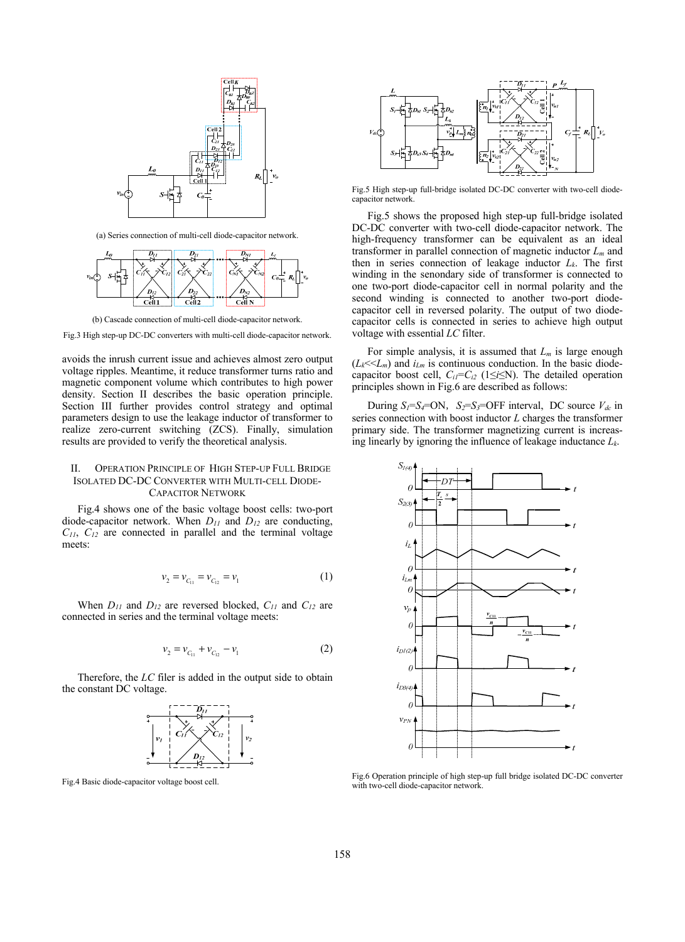

(a) Series connection of multi-cell diode-capacitor network.



(b) Cascade connection of multi-cell diode-capacitor network.

Fig.3 High step-up DC-DC converters with multi-cell diode-capacitor network.

avoids the inrush current issue and achieves almost zero output voltage ripples. Meantime, it reduce transformer turns ratio and magnetic component volume which contributes to high power density. Section II describes the basic operation principle. Section III further provides control strategy and optimal parameters design to use the leakage inductor of transformer to realize zero-current switching (ZCS). Finally, simulation results are provided to verify the theoretical analysis.

## II. OPERATION PRINCIPLE OF HIGH STEP-UP FULL BRIDGE ISOLATED DC-DC CONVERTER WITH MULTI-CELL DIODE-CAPACITOR NETWORK

Fig.4 shows one of the basic voltage boost cells: two-port diode-capacitor network. When *D11* and *D12* are conducting, *C11*, *C12* are connected in parallel and the terminal voltage meets:

$$
v_2 = v_{C_{11}} = v_{C_{12}} = v_1 \tag{1}
$$

When *D11* and *D12* are reversed blocked, *C11* and *C12* are connected in series and the terminal voltage meets:

$$
v_2 = v_{C_{11}} + v_{C_{12}} - v_1 \tag{2}
$$

Therefore, the *LC* filer is added in the output side to obtain the constant DC voltage.



Fig.4 Basic diode-capacitor voltage boost cell.



Fig.5 High step-up full-bridge isolated DC-DC converter with two-cell diodecapacitor network.

Fig.5 shows the proposed high step-up full-bridge isolated DC-DC converter with two-cell diode-capacitor network. The high-frequency transformer can be equivalent as an ideal transformer in parallel connection of magnetic inductor *Lm* and then in series connection of leakage inductor  $L_k$ . The first winding in the senondary side of transformer is connected to one two-port diode-capacitor cell in normal polarity and the second winding is connected to another two-port diodecapacitor cell in reversed polarity. The output of two diodecapacitor cells is connected in series to achieve high output voltage with essential *LC* filter.

For simple analysis, it is assumed that  $L_m$  is large enough  $(L_k \ll L_m)$  and  $i_{Lm}$  is continuous conduction. In the basic diodecapacitor boost cell,  $C_{i1} = C_{i2}$  (1≤*i*≤N). The detailed operation principles shown in Fig.6 are described as follows:

During  $S_I = S_I = ON$ ,  $S_2 = S_3 = OFF$  interval, DC source  $V_{dc}$  in series connection with boost inductor *L* charges the transformer primary side. The transformer magnetizing current is increasing linearly by ignoring the influence of leakage inductance *Lk*.



Fig.6 Operation principle of high step-up full bridge isolated DC-DC converter with two-cell diode-capacitor network.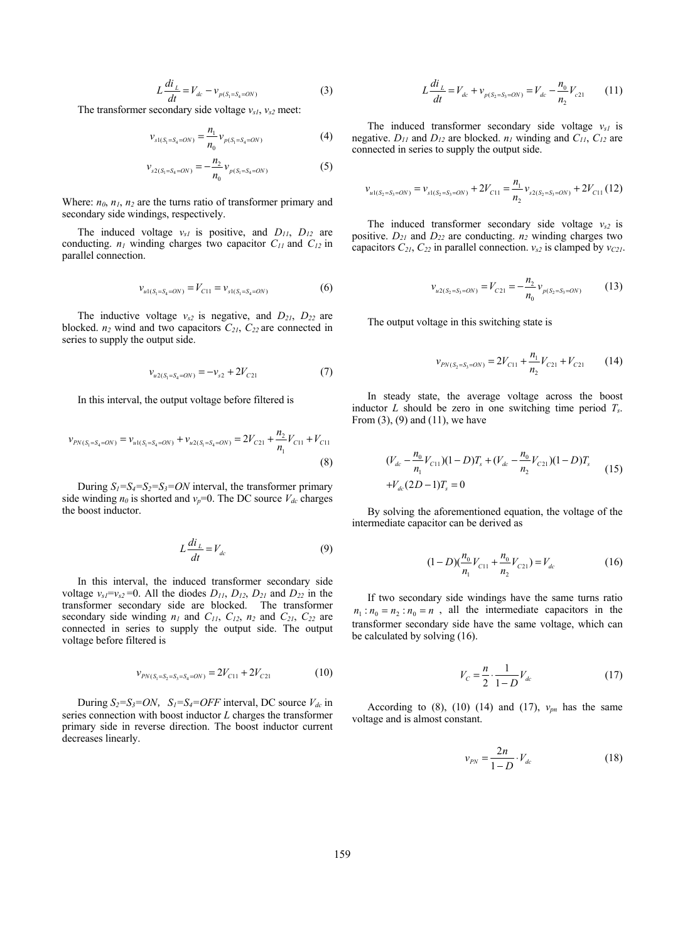$$
L\frac{di_L}{dt} = V_{dc} - \nu_{p(S_1 = S_4 = ON)}\tag{3}
$$

The transformer secondary side voltage *vs1*, *vs2* meet:

$$
\nu_{s1(S_1 = S_4 = ON)} = \frac{n_1}{n_0} \nu_{p(S_1 = S_4 = ON)} \tag{4}
$$

$$
\nu_{s2(S_1=S_4=ON)} = -\frac{n_2}{n_0} \nu_{p(S_1=S_4=ON)} \tag{5}
$$

Where:  $n_0$ ,  $n_1$ ,  $n_2$  are the turns ratio of transformer primary and secondary side windings, respectively.

The induced voltage *vs1* is positive, and *D11*, *D12* are conducting. *n1* winding charges two capacitor *C11* and *C12* in parallel connection.

$$
v_{u1(S_1 = S_4 = ON)} = V_{C11} = v_{s1(S_1 = S_4 = ON)} \tag{6}
$$

The inductive voltage  $v_{s2}$  is negative, and  $D_{21}$ ,  $D_{22}$  are blocked. *n2* wind and two capacitors *C21*, *C22* are connected in series to supply the output side.

$$
v_{u2(S_1=S_4=ON)} = -v_{s2} + 2V_{C21}
$$
 (7)

In this interval, the output voltage before filtered is

$$
v_{PN(S_1=S_4=ON)} = v_{u1(S_1=S_4=ON)} + v_{u2(S_1=S_4=ON)} = 2V_{C21} + \frac{n_2}{n_1}V_{C11} + V_{C11}
$$
\n(8)

During  $S_1 = S_2 = S_3 = ON$  interval, the transformer primary side winding  $n_0$  is shorted and  $v_p=0$ . The DC source  $V_{dc}$  charges the boost inductor.

$$
L\frac{di_L}{dt} = V_{dc} \tag{9}
$$

In this interval, the induced transformer secondary side voltage  $v_{s1} = v_{s2} = 0$ . All the diodes  $D_{11}$ ,  $D_{12}$ ,  $D_{21}$  and  $D_{22}$  in the transformer secondary side are blocked. The transformer secondary side winding  $n_1$  and  $C_{11}$ ,  $C_{12}$ ,  $n_2$  and  $C_{21}$ ,  $C_{22}$  are connected in series to supply the output side. The output voltage before filtered is

$$
\nu_{PN(S_1=S_2=S_3=S_4=ON)} = 2V_{C11} + 2V_{C21}
$$
 (10)

During  $S_2 = S_3 = ON$ ,  $S_1 = S_4 = OFF$  interval, DC source  $V_{dc}$  in series connection with boost inductor *L* charges the transformer primary side in reverse direction. The boost inductor current decreases linearly.

$$
L\frac{di_L}{dt} = V_{dc} + v_{p(S_2 = S_3 = ON)} = V_{dc} - \frac{n_0}{n_2}V_{c21}
$$
 (11)

The induced transformer secondary side voltage  $v_{s1}$  is negative. *D11* and *D12* are blocked. *n1* winding and *C11*, *C12* are connected in series to supply the output side.

$$
v_{u1(S_2=S_3=ON)}=v_{s1(S_2=S_3=ON)}+2V_{C11}=\frac{n_1}{n_2}v_{s2(S_2=S_3=ON)}+2V_{C11}(12)
$$

The induced transformer secondary side voltage  $v_{s2}$  is positive. *D21* and *D22* are conducting. *n2* winding charges two capacitors  $C_{21}$ ,  $C_{22}$  in parallel connection.  $v_{s2}$  is clamped by  $v_{C21}$ .

$$
v_{u2(S_2=S_3=ON)} = V_{C21} = -\frac{n_2}{n_0} v_{p(S_2=S_3=ON)} \tag{13}
$$

The output voltage in this switching state is

$$
v_{PN(S_2=S_3=ON)} = 2V_{C11} + \frac{n_1}{n_2}V_{C21} + V_{C21}
$$
 (14)

In steady state, the average voltage across the boost inductor *L* should be zero in one switching time period *Ts*. From  $(3)$ ,  $(9)$  and  $(11)$ , we have

$$
(V_{dc} - \frac{n_0}{n_1} V_{C11})(1 - D)T_s + (V_{dc} - \frac{n_0}{n_2} V_{C21})(1 - D)T_s
$$
  
+ $V_{dc}$ (2D-1) $T_s$  = 0 (15)

By solving the aforementioned equation, the voltage of the intermediate capacitor can be derived as

$$
(1-D)\left(\frac{n_0}{n_1}V_{C11} + \frac{n_0}{n_2}V_{C21}\right) = V_{dc}
$$
\n(16)

If two secondary side windings have the same turns ratio  $n_1$ :  $n_0 = n_2$ :  $n_0 = n$ , all the intermediate capacitors in the transformer secondary side have the same voltage, which can be calculated by solving (16).

$$
V_c = \frac{n}{2} \cdot \frac{1}{1 - D} V_{dc}
$$
 (17)

According to  $(8)$ ,  $(10)$   $(14)$  and  $(17)$ ,  $v_{pn}$  has the same voltage and is almost constant.

$$
v_{PN} = \frac{2n}{1 - D} \cdot V_{dc}
$$
 (18)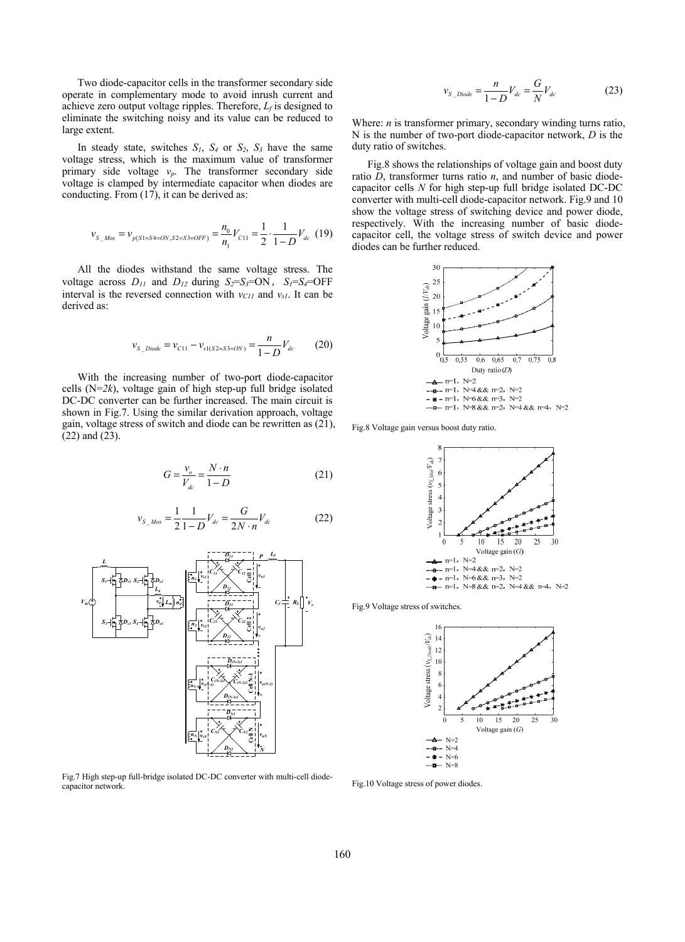Two diode-capacitor cells in the transformer secondary side operate in complementary mode to avoid inrush current and achieve zero output voltage ripples. Therefore, *Lf* is designed to eliminate the switching noisy and its value can be reduced to large extent.

In steady state, switches  $S_1$ ,  $S_4$  or  $S_2$ ,  $S_3$  have the same voltage stress, which is the maximum value of transformer primary side voltage *vp*. The transformer secondary side voltage is clamped by intermediate capacitor when diodes are conducting. From (17), it can be derived as:

$$
v_{S_{-}MoS} = v_{p(S1=S4=ON,S2=S3=OFF)} = \frac{n_0}{n_1} V_{C11} = \frac{1}{2} \cdot \frac{1}{1-D} V_{dc}
$$
 (19)

All the diodes withstand the same voltage stress. The voltage across  $D_{11}$  and  $D_{12}$  during  $S_2 = S_3 = ON$ ,  $S_1 = S_4 = OFF$ interval is the reversed connection with  $v_{C11}$  and  $v_{s1}$ . It can be derived as:

$$
v_{S\_Diode} = v_{C11} - v_{s1(S2=S3=ON)} = \frac{n}{1-D} V_{dc}
$$
 (20)

With the increasing number of two-port diode-capacitor cells (N=*2k*), voltage gain of high step-up full bridge isolated DC-DC converter can be further increased. The main circuit is shown in Fig.7. Using the similar derivation approach, voltage gain, voltage stress of switch and diode can be rewritten as (21), (22) and (23).

$$
G = \frac{v_o}{V_{dc}} = \frac{N \cdot n}{1 - D} \tag{21}
$$

$$
v_{S_{-}MoS} = \frac{1}{2} \frac{1}{1 - D} V_{dc} = \frac{G}{2N \cdot n} V_{dc}
$$
 (22)



Fig.7 High step-up full-bridge isolated DC-DC converter with multi-cell diodecapacitor network.

$$
v_{S\_Diode} = \frac{n}{1 - D} V_{dc} = \frac{G}{N} V_{dc}
$$
 (23)

Where: *n* is transformer primary, secondary winding turns ratio, N is the number of two-port diode-capacitor network, *D* is the duty ratio of switches.

Fig.8 shows the relationships of voltage gain and boost duty ratio *D*, transformer turns ratio *n*, and number of basic diodecapacitor cells *N* for high step-up full bridge isolated DC-DC converter with multi-cell diode-capacitor network. Fig.9 and 10 show the voltage stress of switching device and power diode, respectively. With the increasing number of basic diodecapacitor cell, the voltage stress of switch device and power diodes can be further reduced.



Fig.8 Voltage gain versus boost duty ratio.



Fig.9 Voltage stress of switches.



Fig.10 Voltage stress of power diodes.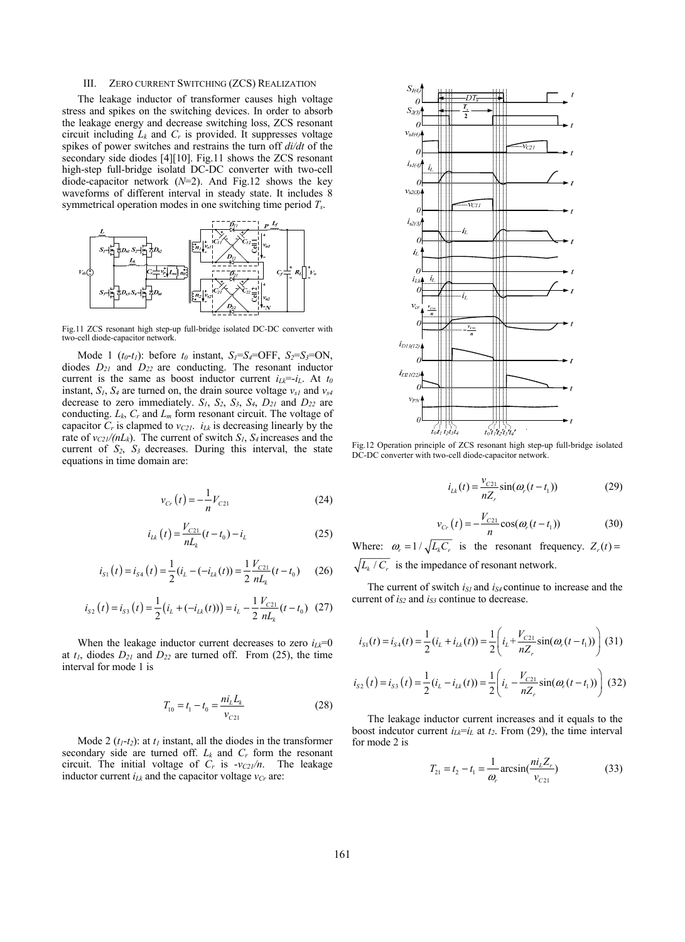#### III. ZERO CURRENT SWITCHING (ZCS) REALIZATION

The leakage inductor of transformer causes high voltage stress and spikes on the switching devices. In order to absorb the leakage energy and decrease switching loss, ZCS resonant circuit including  $L_k$  and  $C_r$  is provided. It suppresses voltage spikes of power switches and restrains the turn off *di/dt* of the secondary side diodes [4][10]. Fig.11 shows the ZCS resonant high-step full-bridge isolatd DC-DC converter with two-cell diode-capacitor network (*N*=2). And Fig.12 shows the key waveforms of different interval in steady state. It includes 8 symmetrical operation modes in one switching time period *Ts*.



Fig.11 ZCS resonant high step-up full-bridge isolated DC-DC converter with two-cell diode-capacitor network.

Mode 1  $(t_0-t_1)$ : before  $t_0$  instant,  $S_1=S_4=OFF$ ,  $S_2=S_3=ON$ , diodes *D21* and *D22* are conducting. The resonant inductor current is the same as boost inductor current  $i_{Lk} = -i_L$ . At  $t_0$ instant,  $S_l$ ,  $S_4$  are turned on, the drain source voltage  $v_{s1}$  and  $v_{s4}$ decrease to zero immediately. *S1*, *S2*, *S3*, *S4*, *D21* and *D22* are conducting.  $L_k$ ,  $C_r$  and  $L_m$  form resonant circuit. The voltage of capacitor  $C_r$  is clapmed to  $v_{C21}$ .  $i_{Lk}$  is decreasing linearly by the rate of  $v_{C21}/(nL_k)$ . The current of switch  $S_1$ ,  $S_4$  increases and the current of  $S_2$ ,  $S_3$  decreases. During this interval, the state equations in time domain are:

$$
v_{Cr}(t) = -\frac{1}{n}V_{C21}
$$
 (24)

$$
i_{Lk}(t) = \frac{V_{C21}}{nL_k}(t - t_0) - i_L
$$
 (25)

$$
i_{S1}(t) = i_{S4}(t) = \frac{1}{2}(i_L - (-i_{Lk}(t))) = \frac{1}{2}\frac{V_{C21}}{nL_k}(t - t_0)
$$
 (26)

$$
i_{S2}(t) = i_{S3}(t) = \frac{1}{2} (i_L + (-i_{Lk}(t))) = i_L - \frac{1}{2} \frac{V_{C21}}{nL_k}(t - t_0) \tag{27}
$$

When the leakage inductor current decreases to zero  $i_{Lk}=0$ at  $t_1$ , diodes  $D_{21}$  and  $D_{22}$  are turned off. From (25), the time interval for mode 1 is

$$
T_{10} = t_1 - t_0 = \frac{m_L L_k}{v_{C21}}\tag{28}
$$

Mode 2  $(t_1-t_2)$ : at  $t_1$  instant, all the diodes in the transformer secondary side are turned off.  $L_k$  and  $C_r$  form the resonant circuit. The initial voltage of  $C_r$  is  $-v_{C21}/n$ . The leakage inductor current  $i_{Lk}$  and the capacitor voltage  $v_{Cr}$  are:



Fig.12 Operation principle of ZCS resonant high step-up full-bridge isolated DC-DC converter with two-cell diode-capacitor network.

$$
i_{Lk}(t) = \frac{v_{C21}}{nZ_r} \sin(\omega_r(t - t_1))
$$
 (29)

$$
v_{Cr}(t) = -\frac{V_{C21}}{n}\cos(\omega_r(t - t_1))
$$
 (30)

Where:  $\omega_r = 1 / \sqrt{L_k C_r}$  is the resonant frequency.  $Z_r(t) =$  $\sqrt{L_k/C_r}$  is the impedance of resonant network.

The current of switch  $i_{SI}$  and  $i_{S4}$  continue to increase and the current of  $i_{S2}$  and  $i_{S3}$  continue to decrease.

$$
i_{s1}(t) = i_{s4}(t) = \frac{1}{2}(i_L + i_{Lk}(t)) = \frac{1}{2}\left(i_L + \frac{V_{C21}}{nZ_r}\sin(\omega_r(t - t_1))\right)
$$
(31)

$$
i_{S2}(t) = i_{S3}(t) = \frac{1}{2}(i_L - i_{Lk}(t)) = \frac{1}{2}\left(i_L - \frac{V_{C21}}{nZ_r}\sin(\omega_r(t - t_1))\right)
$$
(32)

The leakage inductor current increases and it equals to the boost indcutor current  $i_{Lk} = i_L$  at  $t_2$ . From (29), the time interval for mode 2 is

$$
T_{21} = t_2 - t_1 = \frac{1}{\omega_r} \arcsin(\frac{n i_L Z_r}{v_{C21}})
$$
 (33)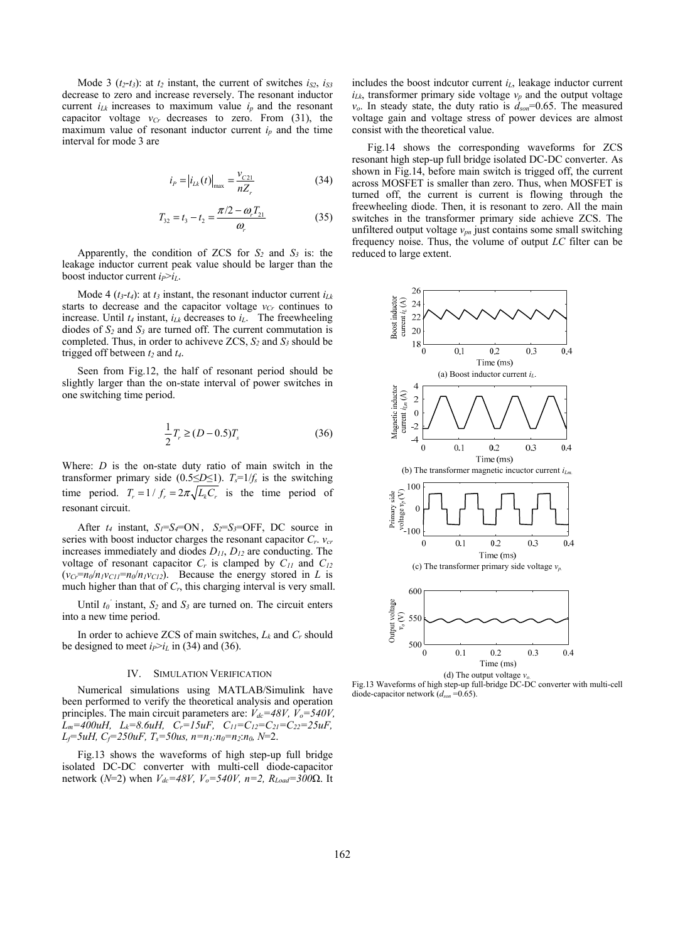Mode 3  $(t_2-t_3)$ : at  $t_2$  instant, the current of switches  $i_{S2}$ ,  $i_{S3}$ decrease to zero and increase reversely. The resonant inductor current  $i_{Lk}$  increases to maximum value  $i_p$  and the resonant capacitor voltage  $v_{Cr}$  decreases to zero. From (31), the maximum value of resonant inductor current *ip* and the time interval for mode 3 are

$$
i_{P} = |i_{Lk}(t)|_{\text{max}} = \frac{v_{C21}}{nZ_{r}}
$$
 (34)

$$
T_{32} = t_3 - t_2 = \frac{\pi/2 - \omega_r T_{21}}{\omega_r}
$$
 (35)

Apparently, the condition of ZCS for  $S_2$  and  $S_3$  is: the leakage inductor current peak value should be larger than the boost inductor current  $i_P > i_L$ .

Mode 4  $(t_3-t_4)$ : at  $t_3$  instant, the resonant inductor current  $i_{Lk}$ starts to decrease and the capacitor voltage  $v_{Cr}$  continues to increase. Until  $t_4$  instant,  $i_{Lk}$  decreases to  $i_L$ . The freewheeling diodes of  $S_2$  and  $S_3$  are turned off. The current commutation is completed. Thus, in order to achiveve  $ZCS$ ,  $S_2$  and  $S_3$  should be trigged off between  $t_2$  and  $t_4$ .

Seen from Fig.12, the half of resonant period should be slightly larger than the on-state interval of power switches in one switching time period.

$$
\frac{1}{2}T_r \ge (D - 0.5)T_s \tag{36}
$$

Where: *D* is the on-state duty ratio of main switch in the transformer primary side (0.5≤*D*≤1).  $T_s=1/f_s$  is the switching time period.  $T_r = 1/f_r = 2\pi \sqrt{L_k C_r}$  is the time period of resonant circuit.

After  $t_4$  instant,  $S_1 = S_4 = ON$ ,  $S_2 = S_3 = OFF$ , DC source in series with boost inductor charges the resonant capacitor *Cr*. *vcr* increases immediately and diodes *D11*, *D12* are conducting. The voltage of resonant capacitor *Cr* is clamped by *C11* and *C12*  $(v_{Cr} = n_0/n_1v_{Cl} = n_0/n_1v_{Cl}$ . Because the energy stored in *L* is much higher than that of  $C_r$ , this charging interval is very small.

Until  $t_0$ <sup> $\prime$ </sup> instant,  $S_2$  and  $S_3$  are turned on. The circuit enters into a new time period.

In order to achieve ZCS of main switches, *Lk* and *Cr* should be designed to meet  $i_P > i_L$  in (34) and (36).

#### IV. SIMULATION VERIFICATION

Numerical simulations using MATLAB/Simulink have been performed to verify the theoretical analysis and operation principles. The main circuit parameters are:  $V_{dc} = 48V$ ,  $\bar{V}_o = 540V$ ,  $\bar{L}_m$ =400uH,  $L_k$ =8.6uH,  $C_r$ =15uF,  $C_{11}$ = $C_{12}$ = $C_{21}$ = $C_{22}$ =25uF, *Lf=5uH, Cf=250uF, Ts=50us, n=n1:n0=n2*:*n0, N*=2.

Fig.13 shows the waveforms of high step-up full bridge isolated DC-DC converter with multi-cell diode-capacitor network ( $N=2$ ) when  $V_{dc} = 48V$ ,  $V_o = 540V$ ,  $n=2$ ,  $R_{Load} = 300Ω$ . It includes the boost indcutor current *iL*, leakage inductor current  $i_{Lk}$ , transformer primary side voltage  $v_p$  and the output voltage *vo*. In steady state, the duty ratio is *dson*=0.65. The measured voltage gain and voltage stress of power devices are almost consist with the theoretical value.

Fig.14 shows the corresponding waveforms for ZCS resonant high step-up full bridge isolated DC-DC converter. As shown in Fig.14, before main switch is trigged off, the current across MOSFET is smaller than zero. Thus, when MOSFET is turned off, the current is current is flowing through the freewheeling diode. Then, it is resonant to zero. All the main switches in the transformer primary side achieve ZCS. The unfiltered output voltage *vpn* just contains some small switching frequency noise. Thus, the volume of output *LC* filter can be reduced to large extent.



Fig.13 Waveforms of high step-up full-bridge DC-DC converter with multi-cell diode-capacitor network (*dson* =0.65).